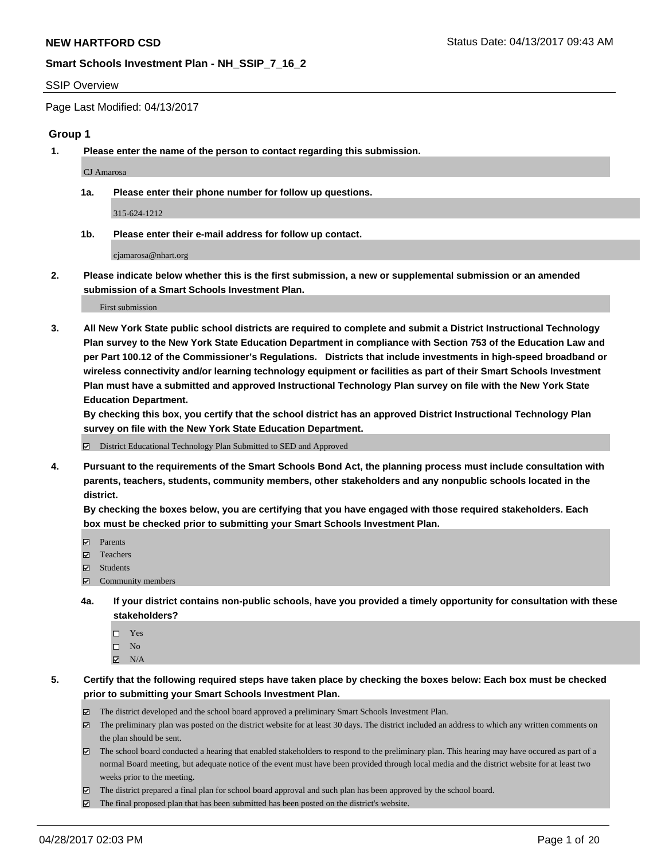#### SSIP Overview

Page Last Modified: 04/13/2017

#### **Group 1**

**1. Please enter the name of the person to contact regarding this submission.**

CJ Amarosa

**1a. Please enter their phone number for follow up questions.**

315-624-1212

**1b. Please enter their e-mail address for follow up contact.**

cjamarosa@nhart.org

**2. Please indicate below whether this is the first submission, a new or supplemental submission or an amended submission of a Smart Schools Investment Plan.**

First submission

**3. All New York State public school districts are required to complete and submit a District Instructional Technology Plan survey to the New York State Education Department in compliance with Section 753 of the Education Law and per Part 100.12 of the Commissioner's Regulations. Districts that include investments in high-speed broadband or wireless connectivity and/or learning technology equipment or facilities as part of their Smart Schools Investment Plan must have a submitted and approved Instructional Technology Plan survey on file with the New York State Education Department.** 

**By checking this box, you certify that the school district has an approved District Instructional Technology Plan survey on file with the New York State Education Department.**

District Educational Technology Plan Submitted to SED and Approved

**4. Pursuant to the requirements of the Smart Schools Bond Act, the planning process must include consultation with parents, teachers, students, community members, other stakeholders and any nonpublic schools located in the district.** 

**By checking the boxes below, you are certifying that you have engaged with those required stakeholders. Each box must be checked prior to submitting your Smart Schools Investment Plan.**

- **マ** Parents
- □ Teachers
- Students
- $\Xi$  Community members
- **4a. If your district contains non-public schools, have you provided a timely opportunity for consultation with these stakeholders?**
	- Yes
	- $\hfill \square$  No
	- $\boxtimes$  N/A
- **5. Certify that the following required steps have taken place by checking the boxes below: Each box must be checked prior to submitting your Smart Schools Investment Plan.**
	- The district developed and the school board approved a preliminary Smart Schools Investment Plan.
	- $\boxtimes$  The preliminary plan was posted on the district website for at least 30 days. The district included an address to which any written comments on the plan should be sent.
	- $\boxtimes$  The school board conducted a hearing that enabled stakeholders to respond to the preliminary plan. This hearing may have occured as part of a normal Board meeting, but adequate notice of the event must have been provided through local media and the district website for at least two weeks prior to the meeting.
	- The district prepared a final plan for school board approval and such plan has been approved by the school board.
	- $\boxtimes$  The final proposed plan that has been submitted has been posted on the district's website.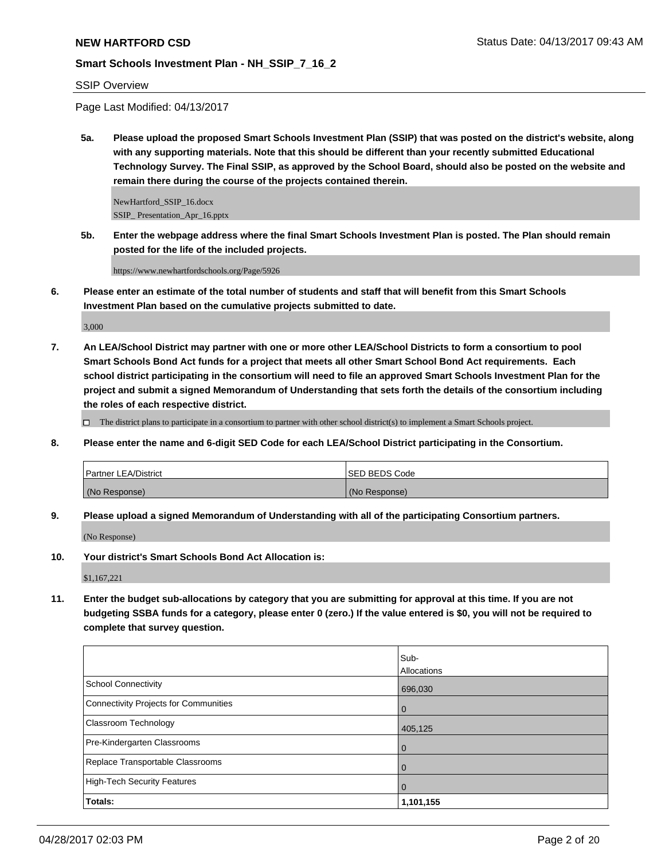## SSIP Overview

Page Last Modified: 04/13/2017

**5a. Please upload the proposed Smart Schools Investment Plan (SSIP) that was posted on the district's website, along with any supporting materials. Note that this should be different than your recently submitted Educational Technology Survey. The Final SSIP, as approved by the School Board, should also be posted on the website and remain there during the course of the projects contained therein.**

NewHartford\_SSIP\_16.docx SSIP\_ Presentation\_Apr\_16.pptx

**5b. Enter the webpage address where the final Smart Schools Investment Plan is posted. The Plan should remain posted for the life of the included projects.**

https://www.newhartfordschools.org/Page/5926

**6. Please enter an estimate of the total number of students and staff that will benefit from this Smart Schools Investment Plan based on the cumulative projects submitted to date.**

3,000

**7. An LEA/School District may partner with one or more other LEA/School Districts to form a consortium to pool Smart Schools Bond Act funds for a project that meets all other Smart School Bond Act requirements. Each school district participating in the consortium will need to file an approved Smart Schools Investment Plan for the project and submit a signed Memorandum of Understanding that sets forth the details of the consortium including the roles of each respective district.**

 $\Box$  The district plans to participate in a consortium to partner with other school district(s) to implement a Smart Schools project.

**8. Please enter the name and 6-digit SED Code for each LEA/School District participating in the Consortium.**

| <b>Partner LEA/District</b> | <b>ISED BEDS Code</b> |
|-----------------------------|-----------------------|
| (No Response)               | (No Response)         |

**9. Please upload a signed Memorandum of Understanding with all of the participating Consortium partners.**

(No Response)

**10. Your district's Smart Schools Bond Act Allocation is:**

\$1,167,221

**11. Enter the budget sub-allocations by category that you are submitting for approval at this time. If you are not budgeting SSBA funds for a category, please enter 0 (zero.) If the value entered is \$0, you will not be required to complete that survey question.**

|                                       | Sub-           |
|---------------------------------------|----------------|
|                                       | Allocations    |
| School Connectivity                   | 696,030        |
| Connectivity Projects for Communities | l O            |
| <b>Classroom Technology</b>           | 405,125        |
| Pre-Kindergarten Classrooms           | l 0            |
| Replace Transportable Classrooms      | $\Omega$       |
| High-Tech Security Features           | $\overline{0}$ |
| Totals:                               | 1,101,155      |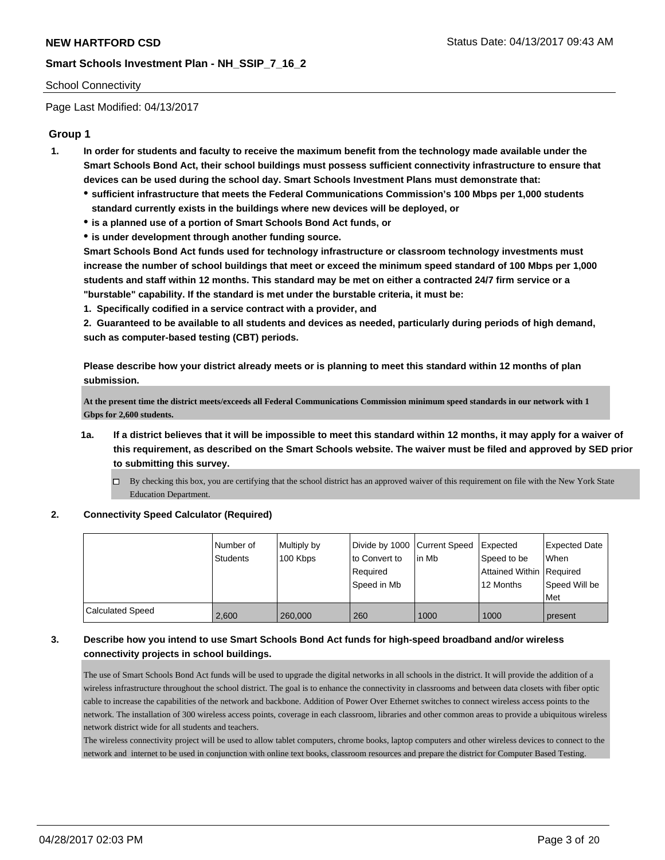#### School Connectivity

Page Last Modified: 04/13/2017

# **Group 1**

- **1. In order for students and faculty to receive the maximum benefit from the technology made available under the Smart Schools Bond Act, their school buildings must possess sufficient connectivity infrastructure to ensure that devices can be used during the school day. Smart Schools Investment Plans must demonstrate that:**
	- **sufficient infrastructure that meets the Federal Communications Commission's 100 Mbps per 1,000 students standard currently exists in the buildings where new devices will be deployed, or**
	- **is a planned use of a portion of Smart Schools Bond Act funds, or**
	- **is under development through another funding source.**

**Smart Schools Bond Act funds used for technology infrastructure or classroom technology investments must increase the number of school buildings that meet or exceed the minimum speed standard of 100 Mbps per 1,000 students and staff within 12 months. This standard may be met on either a contracted 24/7 firm service or a "burstable" capability. If the standard is met under the burstable criteria, it must be:**

**1. Specifically codified in a service contract with a provider, and**

**2. Guaranteed to be available to all students and devices as needed, particularly during periods of high demand, such as computer-based testing (CBT) periods.**

**Please describe how your district already meets or is planning to meet this standard within 12 months of plan submission.**

**At the present time the district meets/exceeds all Federal Communications Commission minimum speed standards in our network with 1 Gbps for 2,600 students.** 

- **1a. If a district believes that it will be impossible to meet this standard within 12 months, it may apply for a waiver of this requirement, as described on the Smart Schools website. The waiver must be filed and approved by SED prior to submitting this survey.**
	- $\Box$  By checking this box, you are certifying that the school district has an approved waiver of this requirement on file with the New York State Education Department.

#### **2. Connectivity Speed Calculator (Required)**

|                  | l Number of<br><b>Students</b> | Multiply by<br>100 Kbps | Divide by 1000 Current Speed<br>to Convert to<br>Reauired<br>Speed in Mb | lin Mb | Expected<br>Speed to be<br>Attained Within   Required<br>12 Months | <b>Expected Date</b><br><b>When</b><br>Speed Will be<br>Met |
|------------------|--------------------------------|-------------------------|--------------------------------------------------------------------------|--------|--------------------------------------------------------------------|-------------------------------------------------------------|
| Calculated Speed | 2,600                          | 260,000                 | 260                                                                      | 1000   | 1000                                                               | present                                                     |

# **3. Describe how you intend to use Smart Schools Bond Act funds for high-speed broadband and/or wireless connectivity projects in school buildings.**

The use of Smart Schools Bond Act funds will be used to upgrade the digital networks in all schools in the district. It will provide the addition of a wireless infrastructure throughout the school district. The goal is to enhance the connectivity in classrooms and between data closets with fiber optic cable to increase the capabilities of the network and backbone. Addition of Power Over Ethernet switches to connect wireless access points to the network. The installation of 300 wireless access points, coverage in each classroom, libraries and other common areas to provide a ubiquitous wireless network district wide for all students and teachers.

The wireless connectivity project will be used to allow tablet computers, chrome books, laptop computers and other wireless devices to connect to the network and internet to be used in conjunction with online text books, classroom resources and prepare the district for Computer Based Testing.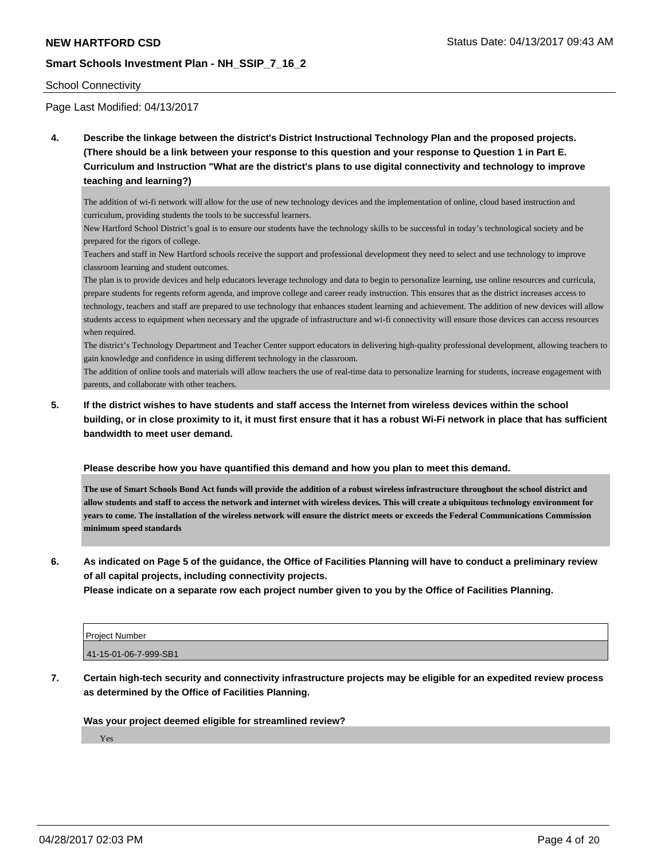#### School Connectivity

Page Last Modified: 04/13/2017

**4. Describe the linkage between the district's District Instructional Technology Plan and the proposed projects. (There should be a link between your response to this question and your response to Question 1 in Part E. Curriculum and Instruction "What are the district's plans to use digital connectivity and technology to improve teaching and learning?)**

The addition of wi-fi network will allow for the use of new technology devices and the implementation of online, cloud based instruction and curriculum, providing students the tools to be successful learners.

New Hartford School District's goal is to ensure our students have the technology skills to be successful in today's technological society and be prepared for the rigors of college.

Teachers and staff in New Hartford schools receive the support and professional development they need to select and use technology to improve classroom learning and student outcomes.

The plan is to provide devices and help educators leverage technology and data to begin to personalize learning, use online resources and curricula, prepare students for regents reform agenda, and improve college and career ready instruction. This ensures that as the district increases access to technology, teachers and staff are prepared to use technology that enhances student learning and achievement. The addition of new devices will allow students access to equipment when necessary and the upgrade of infrastructure and wi-fi connectivity will ensure those devices can access resources when required.

The district's Technology Department and Teacher Center support educators in delivering high-quality professional development, allowing teachers to gain knowledge and confidence in using different technology in the classroom.

The addition of online tools and materials will allow teachers the use of real-time data to personalize learning for students, increase engagement with parents, and collaborate with other teachers.

**5. If the district wishes to have students and staff access the Internet from wireless devices within the school building, or in close proximity to it, it must first ensure that it has a robust Wi-Fi network in place that has sufficient bandwidth to meet user demand.**

**Please describe how you have quantified this demand and how you plan to meet this demand.**

**The use of Smart Schools Bond Act funds will provide the addition of a robust wireless infrastructure throughout the school district and allow students and staff to access the network and internet with wireless devices. This will create a ubiquitous technology environment for years to come. The installation of the wireless network will ensure the district meets or exceeds the Federal Communications Commission minimum speed standards**

**6. As indicated on Page 5 of the guidance, the Office of Facilities Planning will have to conduct a preliminary review of all capital projects, including connectivity projects.**

**Please indicate on a separate row each project number given to you by the Office of Facilities Planning.**

| Project Number        |  |
|-----------------------|--|
| 41-15-01-06-7-999-SB1 |  |

**7. Certain high-tech security and connectivity infrastructure projects may be eligible for an expedited review process as determined by the Office of Facilities Planning.**

#### **Was your project deemed eligible for streamlined review?**

Yes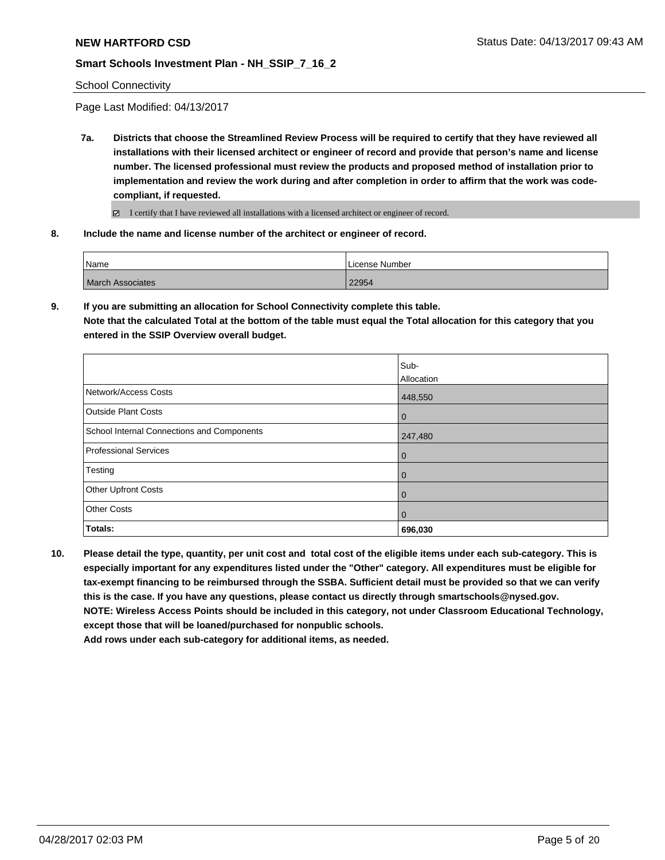School Connectivity

Page Last Modified: 04/13/2017

**7a. Districts that choose the Streamlined Review Process will be required to certify that they have reviewed all installations with their licensed architect or engineer of record and provide that person's name and license number. The licensed professional must review the products and proposed method of installation prior to implementation and review the work during and after completion in order to affirm that the work was codecompliant, if requested.**

I certify that I have reviewed all installations with a licensed architect or engineer of record.

**8. Include the name and license number of the architect or engineer of record.**

| Name                    | License Number |
|-------------------------|----------------|
| <b>March Associates</b> | 22954          |

**9. If you are submitting an allocation for School Connectivity complete this table. Note that the calculated Total at the bottom of the table must equal the Total allocation for this category that you entered in the SSIP Overview overall budget.** 

|                                            | Sub-        |
|--------------------------------------------|-------------|
|                                            | Allocation  |
| Network/Access Costs                       | 448,550     |
| <b>Outside Plant Costs</b>                 | 0           |
| School Internal Connections and Components | 247,480     |
| Professional Services                      | $\mathbf 0$ |
| Testing                                    | $\mathbf 0$ |
| Other Upfront Costs                        | $\mathbf 0$ |
| <b>Other Costs</b>                         | $\mathbf 0$ |
| Totals:                                    | 696,030     |

**10. Please detail the type, quantity, per unit cost and total cost of the eligible items under each sub-category. This is especially important for any expenditures listed under the "Other" category. All expenditures must be eligible for tax-exempt financing to be reimbursed through the SSBA. Sufficient detail must be provided so that we can verify this is the case. If you have any questions, please contact us directly through smartschools@nysed.gov. NOTE: Wireless Access Points should be included in this category, not under Classroom Educational Technology, except those that will be loaned/purchased for nonpublic schools.**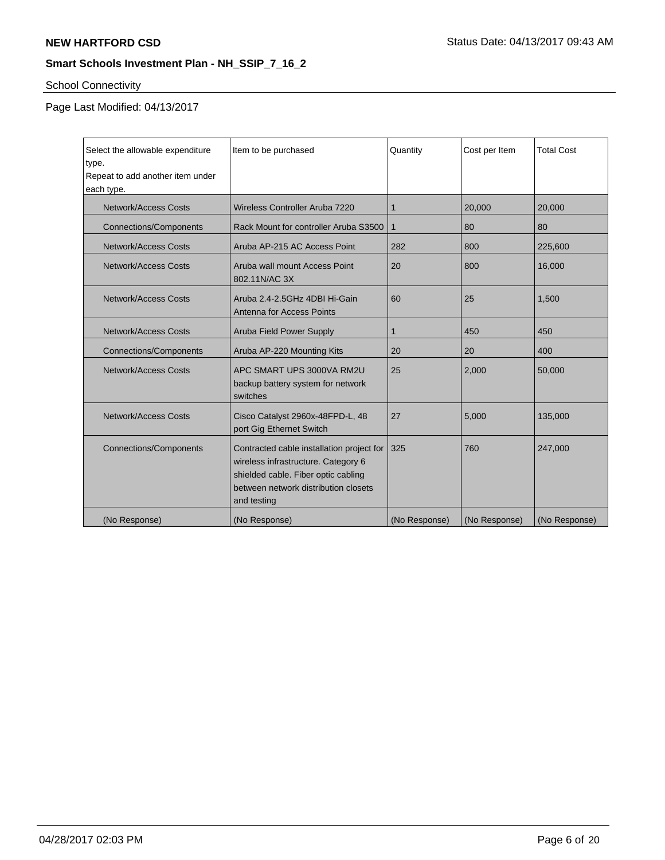# School Connectivity

| Select the allowable expenditure | Item to be purchased                                                                                                                                                           | Quantity      | Cost per Item | <b>Total Cost</b> |
|----------------------------------|--------------------------------------------------------------------------------------------------------------------------------------------------------------------------------|---------------|---------------|-------------------|
| type.                            |                                                                                                                                                                                |               |               |                   |
| Repeat to add another item under |                                                                                                                                                                                |               |               |                   |
| each type.                       |                                                                                                                                                                                |               |               |                   |
| <b>Network/Access Costs</b>      | Wireless Controller Aruba 7220                                                                                                                                                 | 1             | 20,000        | 20,000            |
| <b>Connections/Components</b>    | Rack Mount for controller Aruba S3500                                                                                                                                          | 1             | 80            | 80                |
| <b>Network/Access Costs</b>      | Aruba AP-215 AC Access Point                                                                                                                                                   | 282           | 800           | 225,600           |
| Network/Access Costs             | Aruba wall mount Access Point<br>802.11N/AC 3X                                                                                                                                 | 20            | 800           | 16,000            |
| <b>Network/Access Costs</b>      | Aruba 2.4-2.5GHz 4DBI Hi-Gain<br>Antenna for Access Points                                                                                                                     | 60            | 25            | 1,500             |
| <b>Network/Access Costs</b>      | <b>Aruba Field Power Supply</b>                                                                                                                                                | 1             | 450           | 450               |
| <b>Connections/Components</b>    | Aruba AP-220 Mounting Kits                                                                                                                                                     | 20            | 20            | 400               |
| Network/Access Costs             | APC SMART UPS 3000VA RM2U<br>backup battery system for network<br>switches                                                                                                     | 25            | 2,000         | 50,000            |
| <b>Network/Access Costs</b>      | Cisco Catalyst 2960x-48FPD-L, 48<br>port Gig Ethernet Switch                                                                                                                   | 27            | 5,000         | 135,000           |
| <b>Connections/Components</b>    | Contracted cable installation project for<br>wireless infrastructure. Category 6<br>shielded cable. Fiber optic cabling<br>between network distribution closets<br>and testing | 325           | 760           | 247,000           |
| (No Response)                    | (No Response)                                                                                                                                                                  | (No Response) | (No Response) | (No Response)     |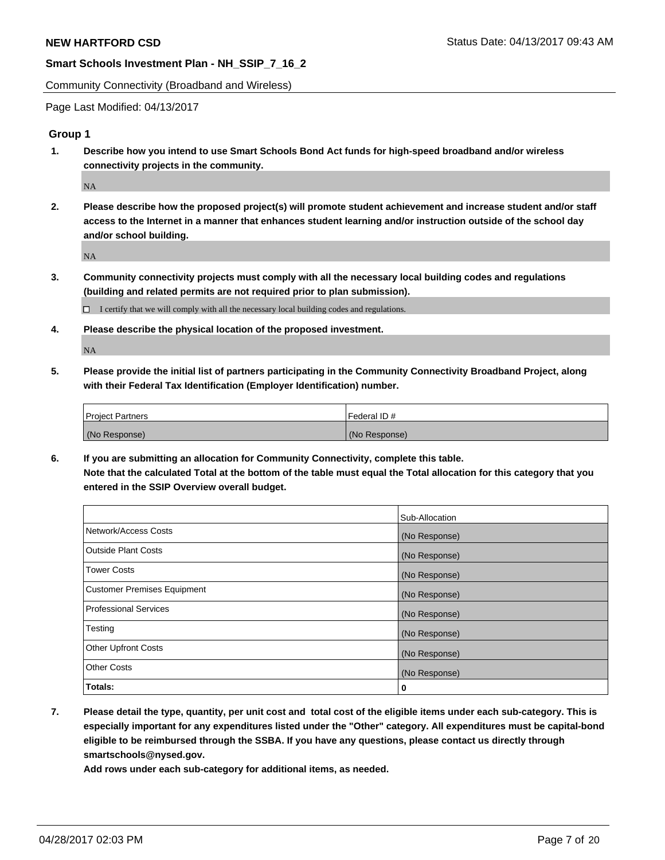Community Connectivity (Broadband and Wireless)

Page Last Modified: 04/13/2017

## **Group 1**

**1. Describe how you intend to use Smart Schools Bond Act funds for high-speed broadband and/or wireless connectivity projects in the community.**

NA

**2. Please describe how the proposed project(s) will promote student achievement and increase student and/or staff access to the Internet in a manner that enhances student learning and/or instruction outside of the school day and/or school building.**

NA

**3. Community connectivity projects must comply with all the necessary local building codes and regulations (building and related permits are not required prior to plan submission).**

 $\Box$  I certify that we will comply with all the necessary local building codes and regulations.

**4. Please describe the physical location of the proposed investment.**

NA

**5. Please provide the initial list of partners participating in the Community Connectivity Broadband Project, along with their Federal Tax Identification (Employer Identification) number.**

| <b>Project Partners</b> | l Federal ID # |
|-------------------------|----------------|
| (No Response)           | (No Response)  |

**6. If you are submitting an allocation for Community Connectivity, complete this table. Note that the calculated Total at the bottom of the table must equal the Total allocation for this category that you entered in the SSIP Overview overall budget.**

|                                    | Sub-Allocation |
|------------------------------------|----------------|
| Network/Access Costs               | (No Response)  |
| Outside Plant Costs                | (No Response)  |
| <b>Tower Costs</b>                 | (No Response)  |
| <b>Customer Premises Equipment</b> | (No Response)  |
| <b>Professional Services</b>       | (No Response)  |
| Testing                            | (No Response)  |
| <b>Other Upfront Costs</b>         | (No Response)  |
| <b>Other Costs</b>                 | (No Response)  |
| Totals:                            | 0              |

**7. Please detail the type, quantity, per unit cost and total cost of the eligible items under each sub-category. This is especially important for any expenditures listed under the "Other" category. All expenditures must be capital-bond eligible to be reimbursed through the SSBA. If you have any questions, please contact us directly through smartschools@nysed.gov.**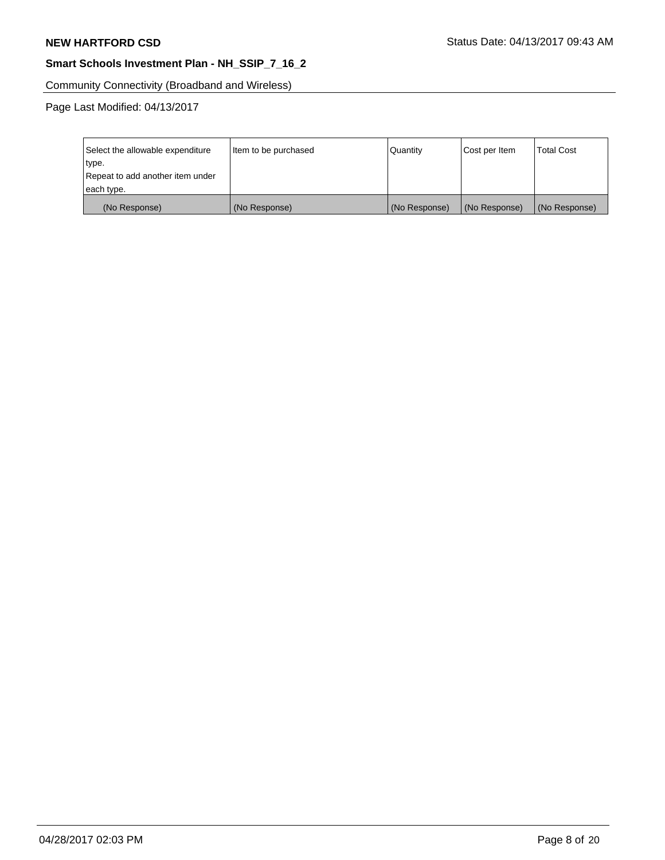Community Connectivity (Broadband and Wireless)

| Select the allowable expenditure<br>type. | Item to be purchased | Quantity      | Cost per Item | <b>Total Cost</b> |
|-------------------------------------------|----------------------|---------------|---------------|-------------------|
| Repeat to add another item under          |                      |               |               |                   |
| each type.                                |                      |               |               |                   |
| (No Response)                             | (No Response)        | (No Response) | (No Response) | (No Response)     |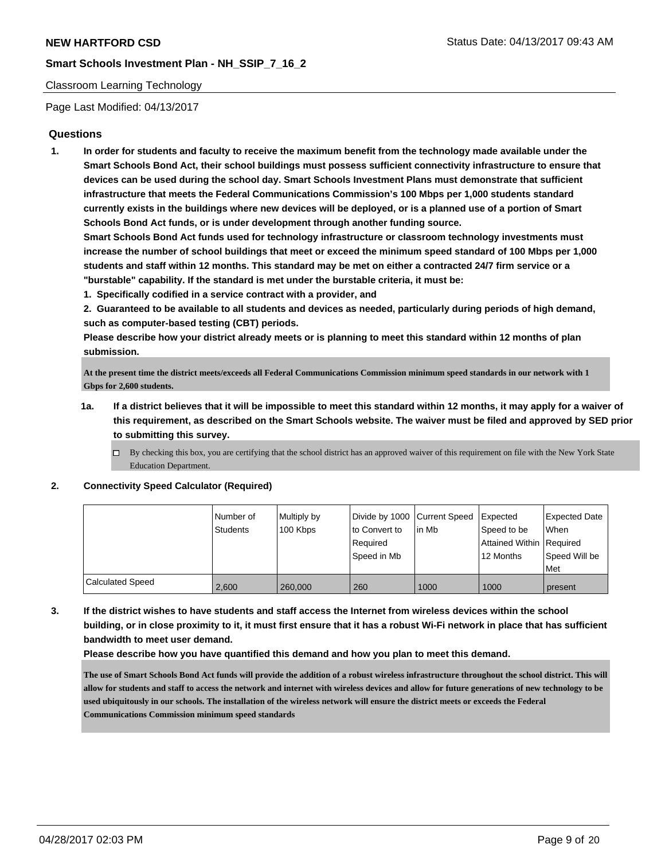#### Classroom Learning Technology

Page Last Modified: 04/13/2017

## **Questions**

**1. In order for students and faculty to receive the maximum benefit from the technology made available under the Smart Schools Bond Act, their school buildings must possess sufficient connectivity infrastructure to ensure that devices can be used during the school day. Smart Schools Investment Plans must demonstrate that sufficient infrastructure that meets the Federal Communications Commission's 100 Mbps per 1,000 students standard currently exists in the buildings where new devices will be deployed, or is a planned use of a portion of Smart Schools Bond Act funds, or is under development through another funding source.**

**Smart Schools Bond Act funds used for technology infrastructure or classroom technology investments must increase the number of school buildings that meet or exceed the minimum speed standard of 100 Mbps per 1,000 students and staff within 12 months. This standard may be met on either a contracted 24/7 firm service or a "burstable" capability. If the standard is met under the burstable criteria, it must be:**

**1. Specifically codified in a service contract with a provider, and**

**2. Guaranteed to be available to all students and devices as needed, particularly during periods of high demand, such as computer-based testing (CBT) periods.**

**Please describe how your district already meets or is planning to meet this standard within 12 months of plan submission.**

**At the present time the district meets/exceeds all Federal Communications Commission minimum speed standards in our network with 1 Gbps for 2,600 students.** 

- **1a. If a district believes that it will be impossible to meet this standard within 12 months, it may apply for a waiver of this requirement, as described on the Smart Schools website. The waiver must be filed and approved by SED prior to submitting this survey.**
	- $\Box$  By checking this box, you are certifying that the school district has an approved waiver of this requirement on file with the New York State Education Department.

#### **2. Connectivity Speed Calculator (Required)**

|                  | l Number of<br>Students | Multiply by<br>100 Kbps | to Convert to | Divide by 1000 Current Speed Expected<br>l in Mb | Speed to be              | Expected Date<br>When |
|------------------|-------------------------|-------------------------|---------------|--------------------------------------------------|--------------------------|-----------------------|
|                  |                         |                         | Reauired      |                                                  | Attained Within Required |                       |
|                  |                         |                         | Speed in Mb   |                                                  | 12 Months                | Speed Will be<br>Met  |
| Calculated Speed | 2.600                   | 260,000                 | 260           | 1000                                             | 1000                     | present               |

**3. If the district wishes to have students and staff access the Internet from wireless devices within the school building, or in close proximity to it, it must first ensure that it has a robust Wi-Fi network in place that has sufficient bandwidth to meet user demand.**

**Please describe how you have quantified this demand and how you plan to meet this demand.**

**The use of Smart Schools Bond Act funds will provide the addition of a robust wireless infrastructure throughout the school district. This will allow for students and staff to access the network and internet with wireless devices and allow for future generations of new technology to be used ubiquitously in our schools. The installation of the wireless network will ensure the district meets or exceeds the Federal Communications Commission minimum speed standards**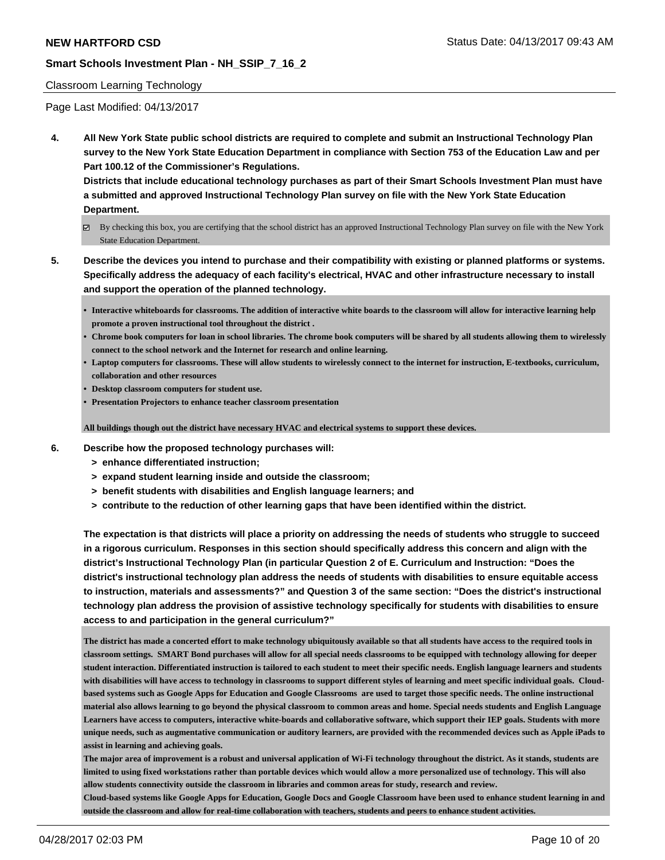#### Classroom Learning Technology

Page Last Modified: 04/13/2017

**4. All New York State public school districts are required to complete and submit an Instructional Technology Plan survey to the New York State Education Department in compliance with Section 753 of the Education Law and per Part 100.12 of the Commissioner's Regulations.**

**Districts that include educational technology purchases as part of their Smart Schools Investment Plan must have a submitted and approved Instructional Technology Plan survey on file with the New York State Education Department.**

- By checking this box, you are certifying that the school district has an approved Instructional Technology Plan survey on file with the New York State Education Department.
- **5. Describe the devices you intend to purchase and their compatibility with existing or planned platforms or systems. Specifically address the adequacy of each facility's electrical, HVAC and other infrastructure necessary to install and support the operation of the planned technology.**
	- **• Interactive whiteboards for classrooms. The addition of interactive white boards to the classroom will allow for interactive learning help promote a proven instructional tool throughout the district .**
	- **• Chrome book computers for loan in school libraries. The chrome book computers will be shared by all students allowing them to wirelessly connect to the school network and the Internet for research and online learning.**
	- **• Laptop computers for classrooms. These will allow students to wirelessly connect to the internet for instruction, E-textbooks, curriculum, collaboration and other resources**
	- **• Desktop classroom computers for student use.**
	- **• Presentation Projectors to enhance teacher classroom presentation**

**All buildings though out the district have necessary HVAC and electrical systems to support these devices.**

- **6. Describe how the proposed technology purchases will:**
	- **> enhance differentiated instruction;**
	- **> expand student learning inside and outside the classroom;**
	- **> benefit students with disabilities and English language learners; and**
	- **> contribute to the reduction of other learning gaps that have been identified within the district.**

**The expectation is that districts will place a priority on addressing the needs of students who struggle to succeed in a rigorous curriculum. Responses in this section should specifically address this concern and align with the district's Instructional Technology Plan (in particular Question 2 of E. Curriculum and Instruction: "Does the district's instructional technology plan address the needs of students with disabilities to ensure equitable access to instruction, materials and assessments?" and Question 3 of the same section: "Does the district's instructional technology plan address the provision of assistive technology specifically for students with disabilities to ensure access to and participation in the general curriculum?"**

**The district has made a concerted effort to make technology ubiquitously available so that all students have access to the required tools in classroom settings. SMART Bond purchases will allow for all special needs classrooms to be equipped with technology allowing for deeper student interaction. Differentiated instruction is tailored to each student to meet their specific needs. English language learners and students with disabilities will have access to technology in classrooms to support different styles of learning and meet specific individual goals. Cloudbased systems such as Google Apps for Education and Google Classrooms are used to target those specific needs. The online instructional material also allows learning to go beyond the physical classroom to common areas and home. Special needs students and English Language Learners have access to computers, interactive white-boards and collaborative software, which support their IEP goals. Students with more unique needs, such as augmentative communication or auditory learners, are provided with the recommended devices such as Apple iPads to assist in learning and achieving goals.** 

**The major area of improvement is a robust and universal application of Wi-Fi technology throughout the district. As it stands, students are limited to using fixed workstations rather than portable devices which would allow a more personalized use of technology. This will also allow students connectivity outside the classroom in libraries and common areas for study, research and review.** 

**Cloud-based systems like Google Apps for Education, Google Docs and Google Classroom have been used to enhance student learning in and outside the classroom and allow for real-time collaboration with teachers, students and peers to enhance student activities.**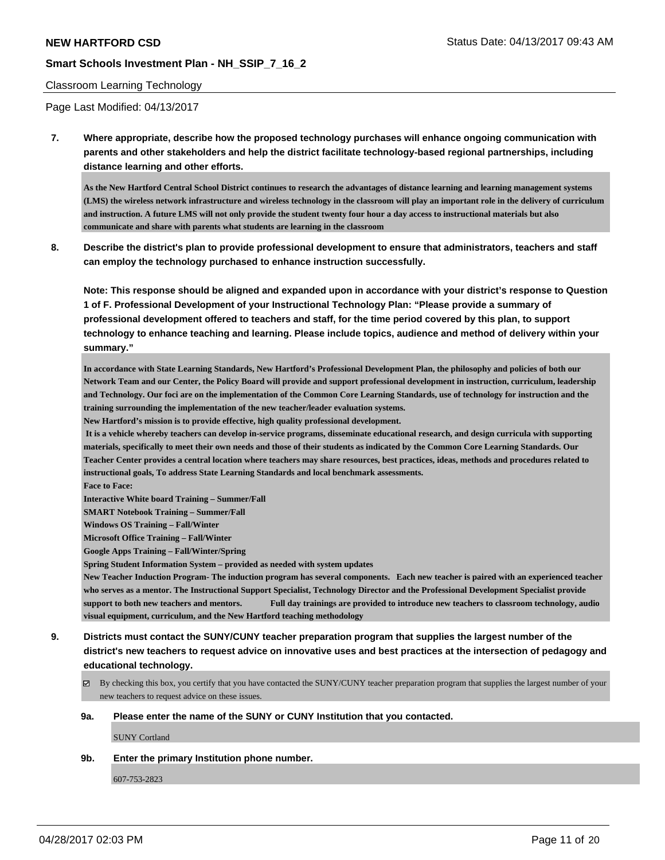#### Classroom Learning Technology

Page Last Modified: 04/13/2017

**7. Where appropriate, describe how the proposed technology purchases will enhance ongoing communication with parents and other stakeholders and help the district facilitate technology-based regional partnerships, including distance learning and other efforts.**

**As the New Hartford Central School District continues to research the advantages of distance learning and learning management systems (LMS) the wireless network infrastructure and wireless technology in the classroom will play an important role in the delivery of curriculum and instruction. A future LMS will not only provide the student twenty four hour a day access to instructional materials but also communicate and share with parents what students are learning in the classroom**

**8. Describe the district's plan to provide professional development to ensure that administrators, teachers and staff can employ the technology purchased to enhance instruction successfully.**

**Note: This response should be aligned and expanded upon in accordance with your district's response to Question 1 of F. Professional Development of your Instructional Technology Plan: "Please provide a summary of professional development offered to teachers and staff, for the time period covered by this plan, to support technology to enhance teaching and learning. Please include topics, audience and method of delivery within your summary."**

**In accordance with State Learning Standards, New Hartford's Professional Development Plan, the philosophy and policies of both our Network Team and our Center, the Policy Board will provide and support professional development in instruction, curriculum, leadership and Technology. Our foci are on the implementation of the Common Core Learning Standards, use of technology for instruction and the training surrounding the implementation of the new teacher/leader evaluation systems.**

**New Hartford's mission is to provide effective, high quality professional development.**

 **It is a vehicle whereby teachers can develop in-service programs, disseminate educational research, and design curricula with supporting materials, specifically to meet their own needs and those of their students as indicated by the Common Core Learning Standards. Our Teacher Center provides a central location where teachers may share resources, best practices, ideas, methods and procedures related to instructional goals, To address State Learning Standards and local benchmark assessments.**

**Face to Face:**

**Interactive White board Training – Summer/Fall**

**SMART Notebook Training – Summer/Fall**

**Windows OS Training – Fall/Winter**

**Microsoft Office Training – Fall/Winter**

**Google Apps Training – Fall/Winter/Spring**

**Spring Student Information System – provided as needed with system updates**

**New Teacher Induction Program- The induction program has several components. Each new teacher is paired with an experienced teacher who serves as a mentor. The Instructional Support Specialist, Technology Director and the Professional Development Specialist provide support to both new teachers and mentors. Full day trainings are provided to introduce new teachers to classroom technology, audio visual equipment, curriculum, and the New Hartford teaching methodology**

- **9. Districts must contact the SUNY/CUNY teacher preparation program that supplies the largest number of the district's new teachers to request advice on innovative uses and best practices at the intersection of pedagogy and educational technology.**
	- $\boxtimes$  By checking this box, you certify that you have contacted the SUNY/CUNY teacher preparation program that supplies the largest number of your new teachers to request advice on these issues.

#### **9a. Please enter the name of the SUNY or CUNY Institution that you contacted.**

SUNY Cortland

**9b. Enter the primary Institution phone number.**

607-753-2823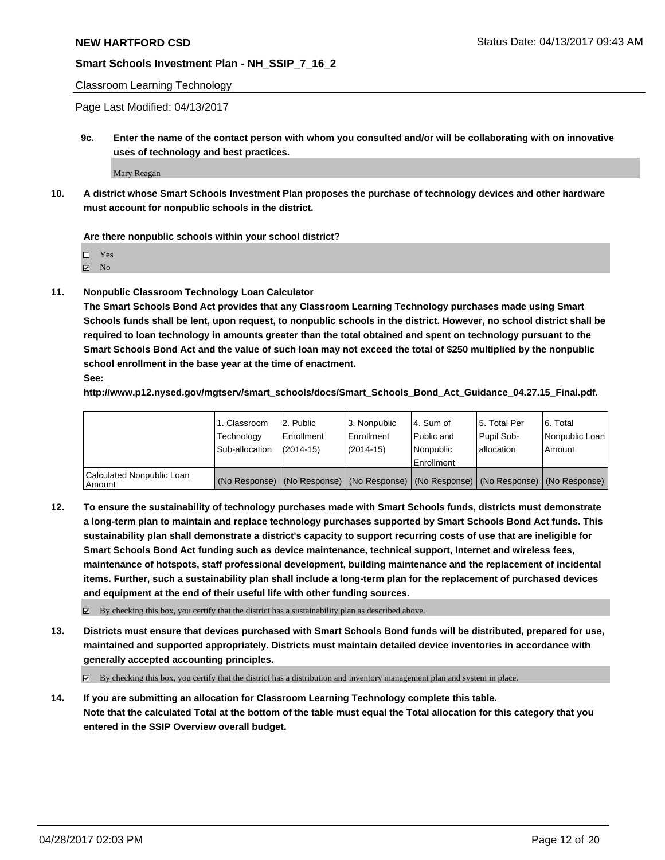Classroom Learning Technology

Page Last Modified: 04/13/2017

**9c. Enter the name of the contact person with whom you consulted and/or will be collaborating with on innovative uses of technology and best practices.**

Mary Reagan

**10. A district whose Smart Schools Investment Plan proposes the purchase of technology devices and other hardware must account for nonpublic schools in the district.**

**Are there nonpublic schools within your school district?**

Yes

 $\boxtimes$  No

**11. Nonpublic Classroom Technology Loan Calculator**

**The Smart Schools Bond Act provides that any Classroom Learning Technology purchases made using Smart Schools funds shall be lent, upon request, to nonpublic schools in the district. However, no school district shall be required to loan technology in amounts greater than the total obtained and spent on technology pursuant to the Smart Schools Bond Act and the value of such loan may not exceed the total of \$250 multiplied by the nonpublic school enrollment in the base year at the time of enactment.**

**See:**

**http://www.p12.nysed.gov/mgtserv/smart\_schools/docs/Smart\_Schools\_Bond\_Act\_Guidance\_04.27.15\_Final.pdf.**

|                                       | 1. Classroom   | 2. Public     | 3. Nonpublic | 14. Sum of  | 15. Total Per | l 6. Total                                                                                    |
|---------------------------------------|----------------|---------------|--------------|-------------|---------------|-----------------------------------------------------------------------------------------------|
|                                       | Technology     | Enrollment    | Enrollment   | Public and  | Pupil Sub-    | Nonpublic Loan                                                                                |
|                                       | Sub-allocation | $(2014 - 15)$ | (2014-15)    | l Nonpublic | allocation    | Amount                                                                                        |
|                                       |                |               |              | Enrollment  |               |                                                                                               |
| Calculated Nonpublic Loan<br>  Amount |                |               |              |             |               | (No Response)   (No Response)   (No Response)   (No Response)   (No Response)   (No Response) |

**12. To ensure the sustainability of technology purchases made with Smart Schools funds, districts must demonstrate a long-term plan to maintain and replace technology purchases supported by Smart Schools Bond Act funds. This sustainability plan shall demonstrate a district's capacity to support recurring costs of use that are ineligible for Smart Schools Bond Act funding such as device maintenance, technical support, Internet and wireless fees, maintenance of hotspots, staff professional development, building maintenance and the replacement of incidental items. Further, such a sustainability plan shall include a long-term plan for the replacement of purchased devices and equipment at the end of their useful life with other funding sources.**

 $\boxtimes$  By checking this box, you certify that the district has a sustainability plan as described above.

**13. Districts must ensure that devices purchased with Smart Schools Bond funds will be distributed, prepared for use, maintained and supported appropriately. Districts must maintain detailed device inventories in accordance with generally accepted accounting principles.**

By checking this box, you certify that the district has a distribution and inventory management plan and system in place.

**14. If you are submitting an allocation for Classroom Learning Technology complete this table. Note that the calculated Total at the bottom of the table must equal the Total allocation for this category that you entered in the SSIP Overview overall budget.**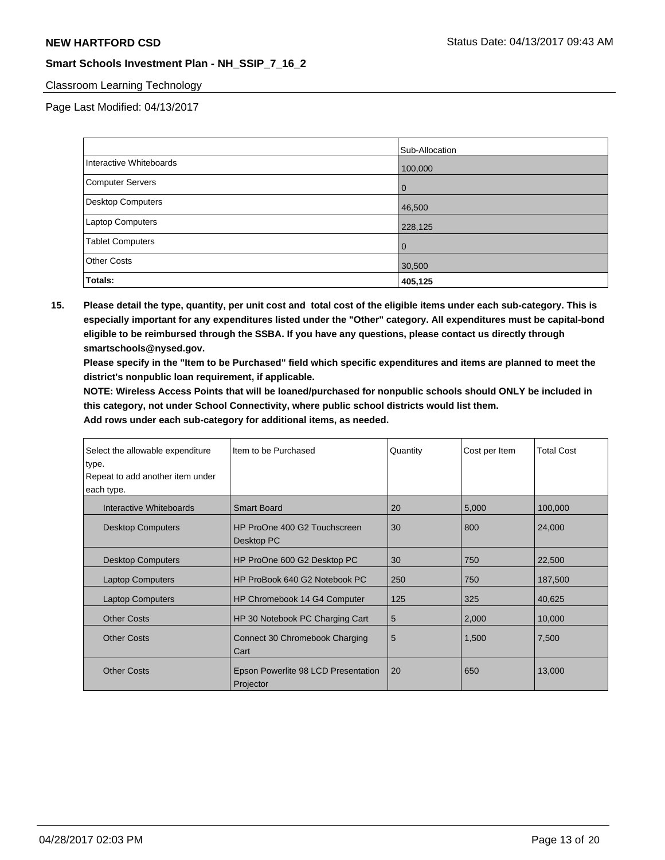# Classroom Learning Technology

Page Last Modified: 04/13/2017

|                         | Sub-Allocation |
|-------------------------|----------------|
| Interactive Whiteboards | 100,000        |
| Computer Servers        | O              |
| Desktop Computers       | 46,500         |
| <b>Laptop Computers</b> | 228,125        |
| <b>Tablet Computers</b> | 0              |
| <b>Other Costs</b>      | 30,500         |
| Totals:                 | 405,125        |

**15. Please detail the type, quantity, per unit cost and total cost of the eligible items under each sub-category. This is especially important for any expenditures listed under the "Other" category. All expenditures must be capital-bond eligible to be reimbursed through the SSBA. If you have any questions, please contact us directly through smartschools@nysed.gov.**

**Please specify in the "Item to be Purchased" field which specific expenditures and items are planned to meet the district's nonpublic loan requirement, if applicable.**

**NOTE: Wireless Access Points that will be loaned/purchased for nonpublic schools should ONLY be included in this category, not under School Connectivity, where public school districts would list them.**

| Select the allowable expenditure<br>type. | Item to be Purchased                             | Quantity | Cost per Item | <b>Total Cost</b> |
|-------------------------------------------|--------------------------------------------------|----------|---------------|-------------------|
| Repeat to add another item under          |                                                  |          |               |                   |
| each type.                                |                                                  |          |               |                   |
| Interactive Whiteboards                   | <b>Smart Board</b>                               | 20       | 5,000         | 100,000           |
| <b>Desktop Computers</b>                  | HP ProOne 400 G2 Touchscreen<br>Desktop PC       | 30       | 800           | 24,000            |
| <b>Desktop Computers</b>                  | HP ProOne 600 G2 Desktop PC                      | 30       | 750           | 22,500            |
| <b>Laptop Computers</b>                   | HP ProBook 640 G2 Notebook PC                    | 250      | 750           | 187,500           |
| <b>Laptop Computers</b>                   | HP Chromebook 14 G4 Computer                     | 125      | 325           | 40,625            |
| <b>Other Costs</b>                        | HP 30 Notebook PC Charging Cart                  | 5        | 2,000         | 10,000            |
| <b>Other Costs</b>                        | Connect 30 Chromebook Charging<br>Cart           | 5        | 1,500         | 7,500             |
| <b>Other Costs</b>                        | Epson Powerlite 98 LCD Presentation<br>Projector | 20       | 650           | 13,000            |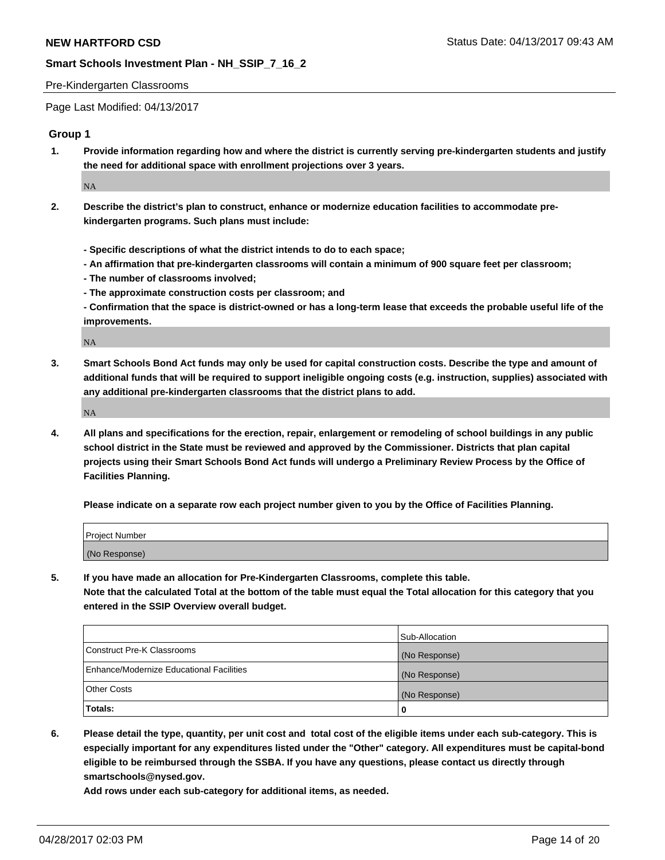#### Pre-Kindergarten Classrooms

Page Last Modified: 04/13/2017

# **Group 1**

**1. Provide information regarding how and where the district is currently serving pre-kindergarten students and justify the need for additional space with enrollment projections over 3 years.**

NA

- **2. Describe the district's plan to construct, enhance or modernize education facilities to accommodate prekindergarten programs. Such plans must include:**
	- **Specific descriptions of what the district intends to do to each space;**
	- **An affirmation that pre-kindergarten classrooms will contain a minimum of 900 square feet per classroom;**
	- **The number of classrooms involved;**
	- **The approximate construction costs per classroom; and**
	- **Confirmation that the space is district-owned or has a long-term lease that exceeds the probable useful life of the improvements.**

NA

**3. Smart Schools Bond Act funds may only be used for capital construction costs. Describe the type and amount of additional funds that will be required to support ineligible ongoing costs (e.g. instruction, supplies) associated with any additional pre-kindergarten classrooms that the district plans to add.**

NA

**4. All plans and specifications for the erection, repair, enlargement or remodeling of school buildings in any public school district in the State must be reviewed and approved by the Commissioner. Districts that plan capital projects using their Smart Schools Bond Act funds will undergo a Preliminary Review Process by the Office of Facilities Planning.**

**Please indicate on a separate row each project number given to you by the Office of Facilities Planning.**

| Project Number |  |
|----------------|--|
| (No Response)  |  |

**5. If you have made an allocation for Pre-Kindergarten Classrooms, complete this table. Note that the calculated Total at the bottom of the table must equal the Total allocation for this category that you entered in the SSIP Overview overall budget.**

| Totals:                                  | 0              |
|------------------------------------------|----------------|
| Other Costs                              | (No Response)  |
| Enhance/Modernize Educational Facilities | (No Response)  |
| Construct Pre-K Classrooms               | (No Response)  |
|                                          | Sub-Allocation |

**6. Please detail the type, quantity, per unit cost and total cost of the eligible items under each sub-category. This is especially important for any expenditures listed under the "Other" category. All expenditures must be capital-bond eligible to be reimbursed through the SSBA. If you have any questions, please contact us directly through smartschools@nysed.gov.**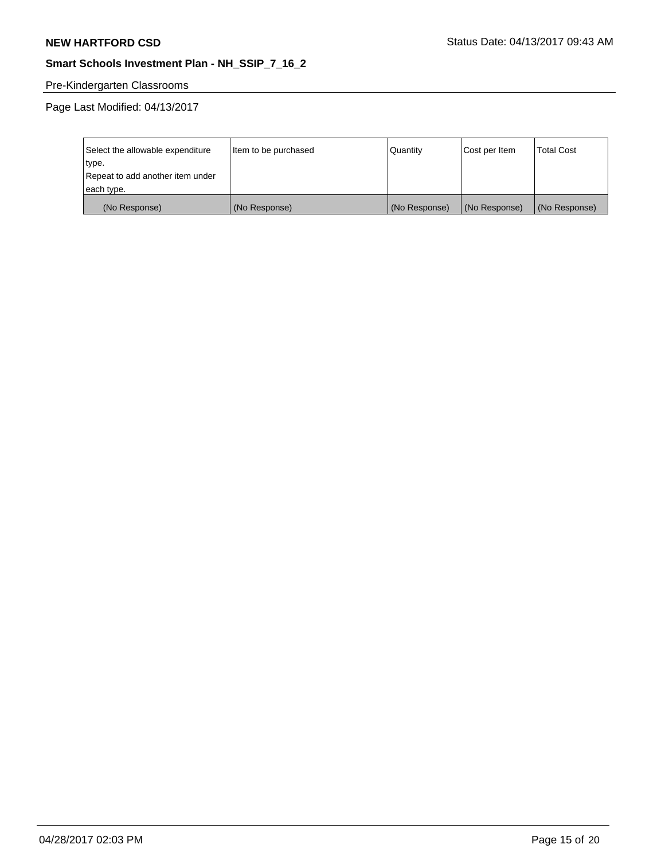# Pre-Kindergarten Classrooms

| Select the allowable expenditure | Item to be purchased | Quantity      | Cost per Item | <b>Total Cost</b> |
|----------------------------------|----------------------|---------------|---------------|-------------------|
| type.                            |                      |               |               |                   |
| Repeat to add another item under |                      |               |               |                   |
| each type.                       |                      |               |               |                   |
| (No Response)                    | (No Response)        | (No Response) | (No Response) | (No Response)     |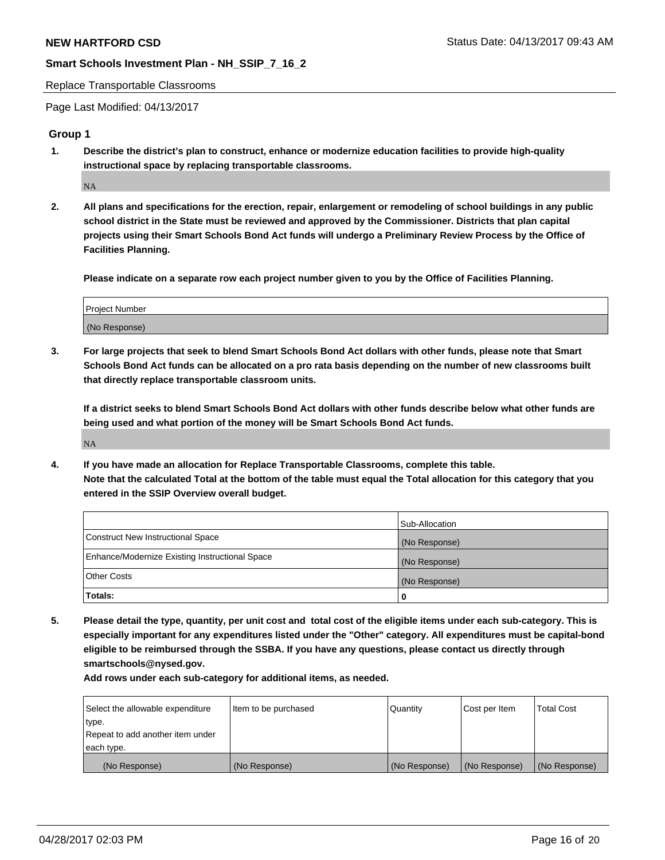Replace Transportable Classrooms

Page Last Modified: 04/13/2017

## **Group 1**

**1. Describe the district's plan to construct, enhance or modernize education facilities to provide high-quality instructional space by replacing transportable classrooms.**

NA

**2. All plans and specifications for the erection, repair, enlargement or remodeling of school buildings in any public school district in the State must be reviewed and approved by the Commissioner. Districts that plan capital projects using their Smart Schools Bond Act funds will undergo a Preliminary Review Process by the Office of Facilities Planning.**

**Please indicate on a separate row each project number given to you by the Office of Facilities Planning.**

| Project Number |  |
|----------------|--|
| (No Response)  |  |

**3. For large projects that seek to blend Smart Schools Bond Act dollars with other funds, please note that Smart Schools Bond Act funds can be allocated on a pro rata basis depending on the number of new classrooms built that directly replace transportable classroom units.**

**If a district seeks to blend Smart Schools Bond Act dollars with other funds describe below what other funds are being used and what portion of the money will be Smart Schools Bond Act funds.**

NA

**4. If you have made an allocation for Replace Transportable Classrooms, complete this table. Note that the calculated Total at the bottom of the table must equal the Total allocation for this category that you entered in the SSIP Overview overall budget.**

|                                                | Sub-Allocation |
|------------------------------------------------|----------------|
| Construct New Instructional Space              | (No Response)  |
| Enhance/Modernize Existing Instructional Space | (No Response)  |
| Other Costs                                    | (No Response)  |
| Totals:                                        | 0              |

**5. Please detail the type, quantity, per unit cost and total cost of the eligible items under each sub-category. This is especially important for any expenditures listed under the "Other" category. All expenditures must be capital-bond eligible to be reimbursed through the SSBA. If you have any questions, please contact us directly through smartschools@nysed.gov.**

| Select the allowable expenditure | Item to be purchased | Quantity      | Cost per Item | <b>Total Cost</b> |
|----------------------------------|----------------------|---------------|---------------|-------------------|
| type.                            |                      |               |               |                   |
| Repeat to add another item under |                      |               |               |                   |
| each type.                       |                      |               |               |                   |
| (No Response)                    | (No Response)        | (No Response) | (No Response) | (No Response)     |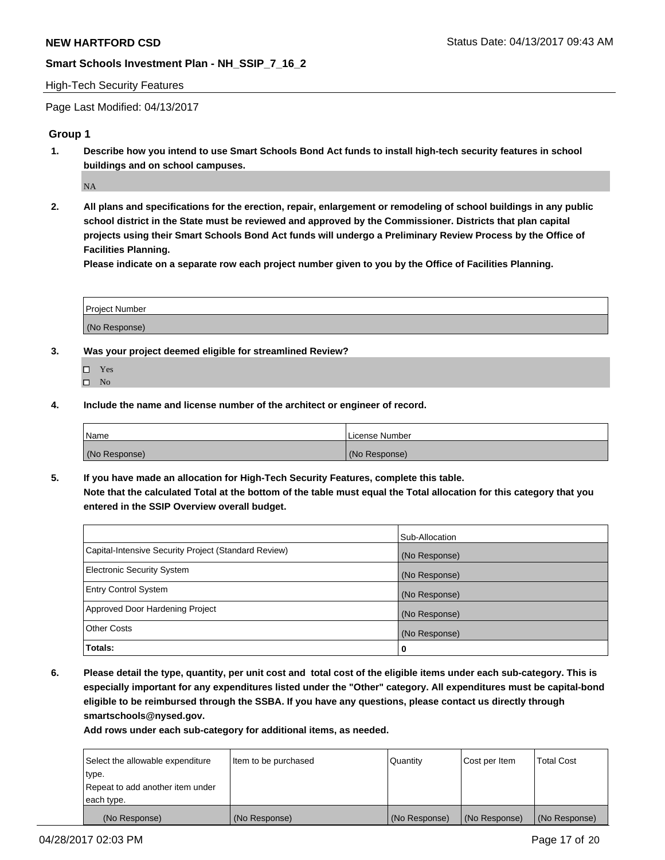#### High-Tech Security Features

Page Last Modified: 04/13/2017

# **Group 1**

**1. Describe how you intend to use Smart Schools Bond Act funds to install high-tech security features in school buildings and on school campuses.**

NA

**2. All plans and specifications for the erection, repair, enlargement or remodeling of school buildings in any public school district in the State must be reviewed and approved by the Commissioner. Districts that plan capital projects using their Smart Schools Bond Act funds will undergo a Preliminary Review Process by the Office of Facilities Planning.** 

**Please indicate on a separate row each project number given to you by the Office of Facilities Planning.**

| Project Number |  |
|----------------|--|
|                |  |
|                |  |
|                |  |
| (No Response)  |  |
|                |  |

- **3. Was your project deemed eligible for streamlined Review?**
	- Yes  $\square$  No
- **4. Include the name and license number of the architect or engineer of record.**

| <b>Name</b>   | License Number |
|---------------|----------------|
| (No Response) | (No Response)  |

**5. If you have made an allocation for High-Tech Security Features, complete this table. Note that the calculated Total at the bottom of the table must equal the Total allocation for this category that you entered in the SSIP Overview overall budget.**

|                                                      | Sub-Allocation |
|------------------------------------------------------|----------------|
| Capital-Intensive Security Project (Standard Review) | (No Response)  |
| Electronic Security System                           | (No Response)  |
| <b>Entry Control System</b>                          | (No Response)  |
| Approved Door Hardening Project                      | (No Response)  |
| <b>Other Costs</b>                                   | (No Response)  |
| Totals:                                              | 0              |

**6. Please detail the type, quantity, per unit cost and total cost of the eligible items under each sub-category. This is especially important for any expenditures listed under the "Other" category. All expenditures must be capital-bond eligible to be reimbursed through the SSBA. If you have any questions, please contact us directly through smartschools@nysed.gov.**

| (No Response)                    | (No Response)        | (No Response) | (No Response) | (No Response)     |
|----------------------------------|----------------------|---------------|---------------|-------------------|
| each type.                       |                      |               |               |                   |
| Repeat to add another item under |                      |               |               |                   |
| type.                            |                      |               |               |                   |
| Select the allowable expenditure | Item to be purchased | Quantity      | Cost per Item | <b>Total Cost</b> |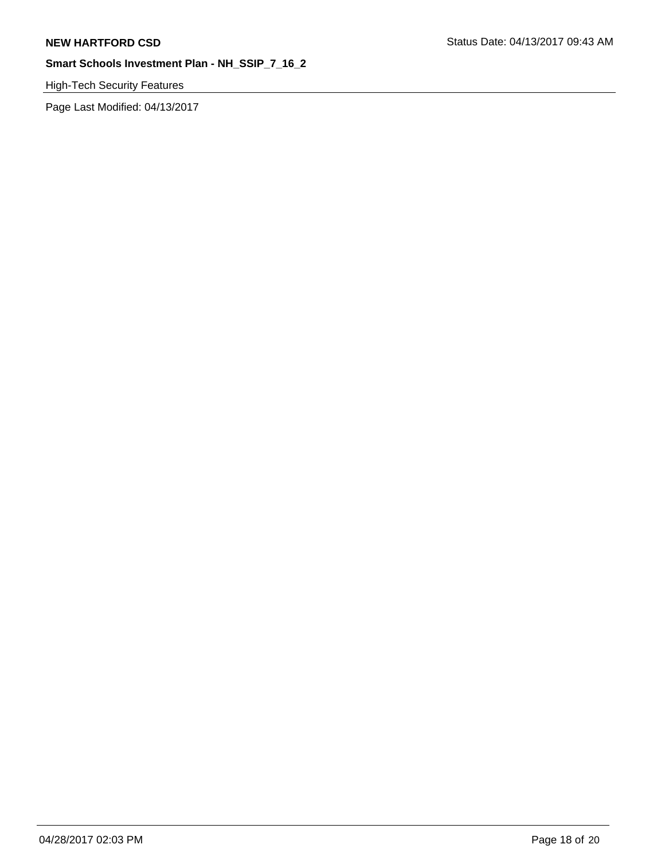# High-Tech Security Features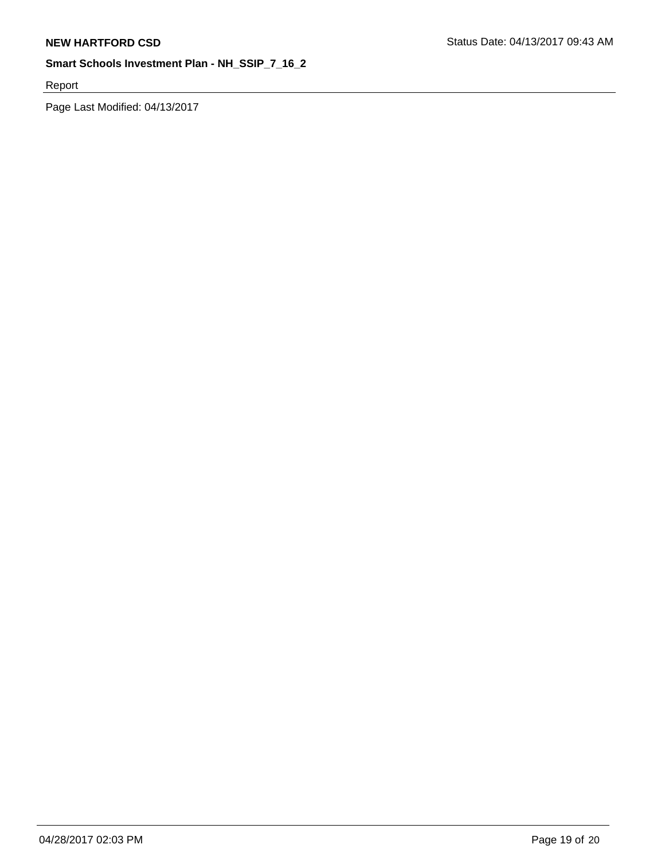Report